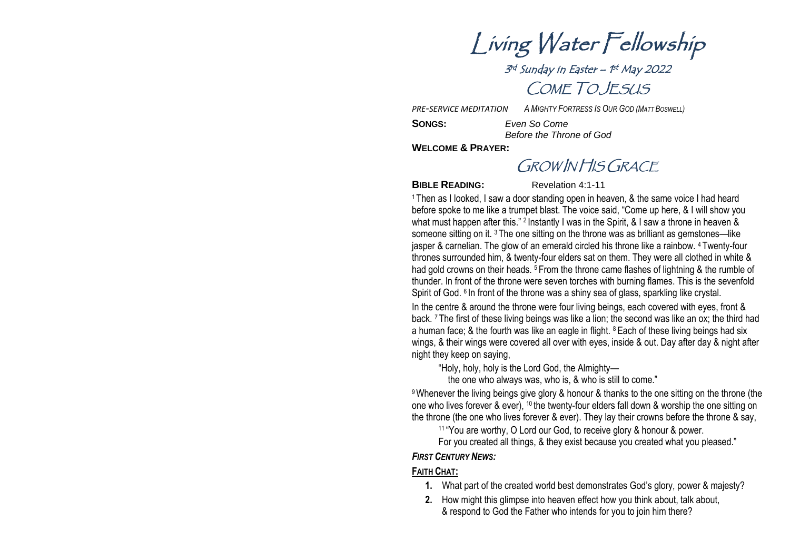Living Water Fellowship

3<sup>rd</sup> Sunday in Easter – 1<sup>st</sup> May 2022 COME TO JESUS

*A MIGHTY FORTRESS IS OUR GOD (MATT BOSWELL)*

*PRE -SERVICE MEDITATION* 

**SONGS**

**:** *Even So Come Before the Throne of God*

**WELCOME & PRAYER :**

GROW IN HIS GRACE

**BIBLE READING:** Revelation 4:1-11

<sup>1</sup> Then as I looked, I saw a door standing open in heaven, & the same voice I had heard before spoke to me like a trumpet blast. The voice said, "Come up here, & I will show you what must happen after this." <sup>2</sup> Instantly I was in the Spirit, & I saw a throne in heaven & someone sitting on it. <sup>3</sup> The one sitting on the throne was as brilliant as gemstones—like jasper & carnelian. The glow of an emerald circled his throne like a rainbow. <sup>4</sup> Twenty-four thrones surrounded him, & twenty-four elders sat on them. They were all clothed in white & had gold crowns on their heads.<sup>5</sup> From the throne came flashes of lightning & the rumble of thunder. In front of the throne were seven torches with burning flames. This is the sevenfold Spirit of God. <sup>6</sup> In front of the throne was a shiny sea of glass, sparkling like crystal. In the centre & around the throne were four living beings, each covered with eyes, front & back. <sup>7</sup> The first of these living beings was like a lion; the second was like an ox; the third had a human face; & the fourth was like an eagle in flight. <sup>8</sup> Each of these living beings had six wings, & their wings were covered all over with eyes, inside & out. Day after day & night after night they keep on saying,

"Holy, holy, holy is the Lord God, the Almighty —

the one who always was, who is, & who is still to come."

9Whenever the living beings give glory & honour & thanks to the one sitting on the throne (the one who lives forever & ever), <sup>10</sup> the twenty-four elders fall down & worship the one sitting on the throne (the one who lives forever & ever). They lay their crowns before the throne & say,

<sup>11</sup> "You are worthy, O Lord our God, to receive glory & honour & power.

For you created all things, & they exist because you created what you pleased."

#### *FIRST CENTURY NEWS:*

### **FAITH CHAT :**

- **1.** What part of the created world best demonstrates God's glory, power & majesty ?
- **2.** How might this glimpse into heaven effect how you think about, talk about, & respond to God the Father who intends for you to join him there ?